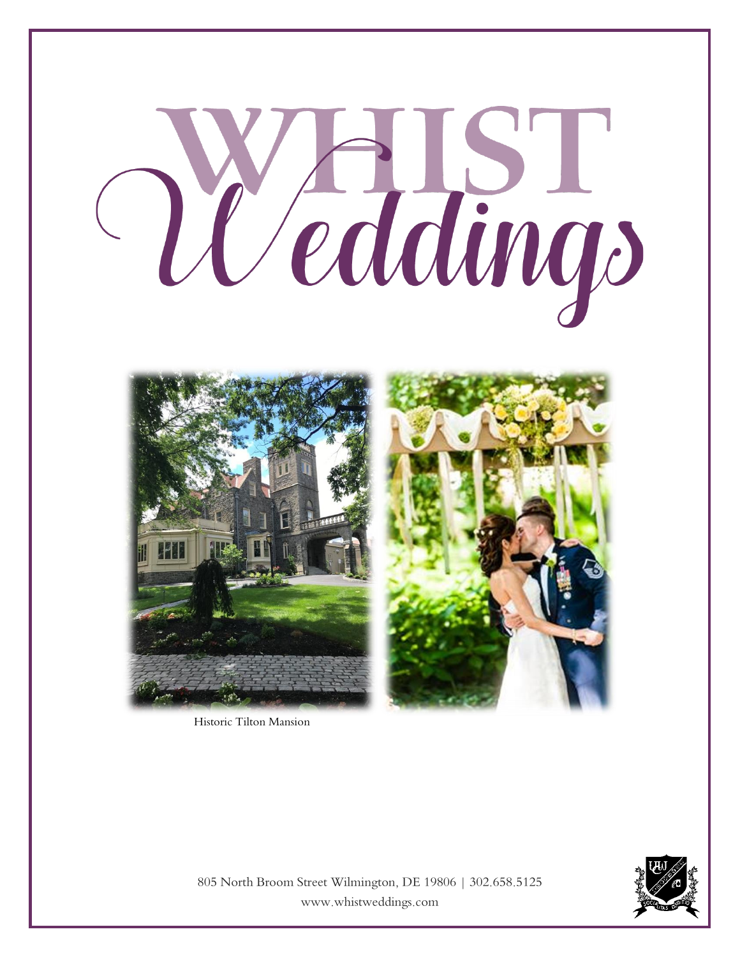

Historic Tilton Mansion

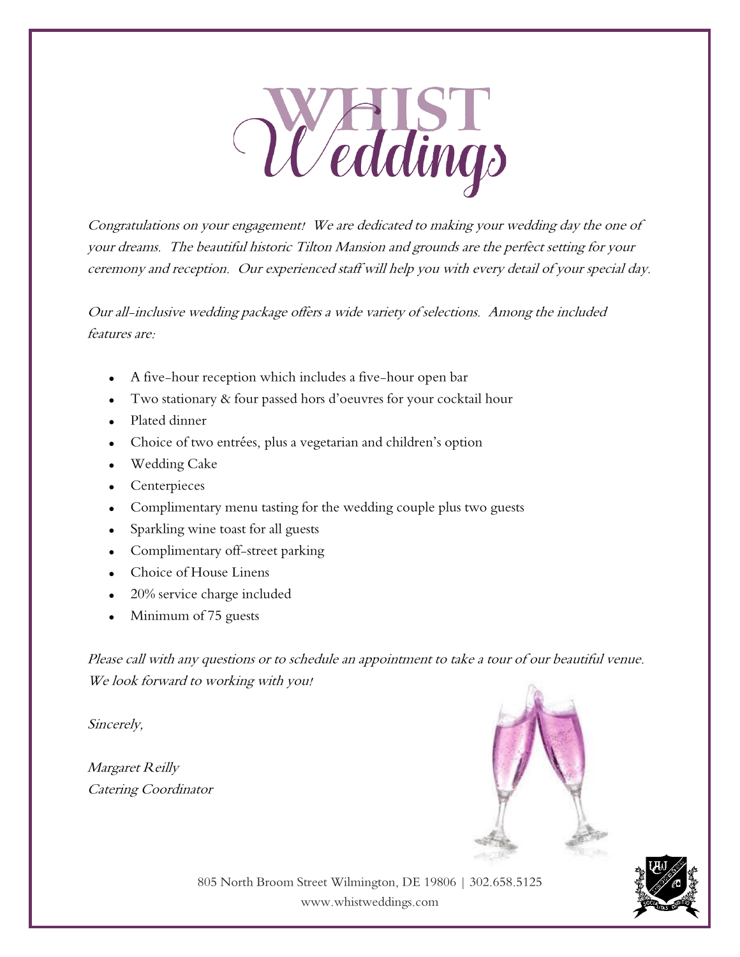

Congratulations on your engagement! We are dedicated to making your wedding day the one of your dreams. The beautiful historic Tilton Mansion and grounds are the perfect setting for your ceremony and reception. Our experienced staff will help you with every detail of your special day.

Our all-inclusive wedding package offers a wide variety of selections. Among the included features are:

- A five-hour reception which includes a five-hour open bar
- Two stationary & four passed hors d'oeuvres for your cocktail hour
- Plated dinner
- Choice of two entrées, plus a vegetarian and children's option
- Wedding Cake
- Centerpieces
- Complimentary menu tasting for the wedding couple plus two guests
- Sparkling wine toast for all guests
- Complimentary off-street parking
- Choice of House Linens
- 20% service charge included
- Minimum of 75 guests

Please call with any questions or to schedule an appointment to take a tour of our beautiful venue. We look forward to working with you!

Sincerely,

Margaret Reilly Catering Coordinator



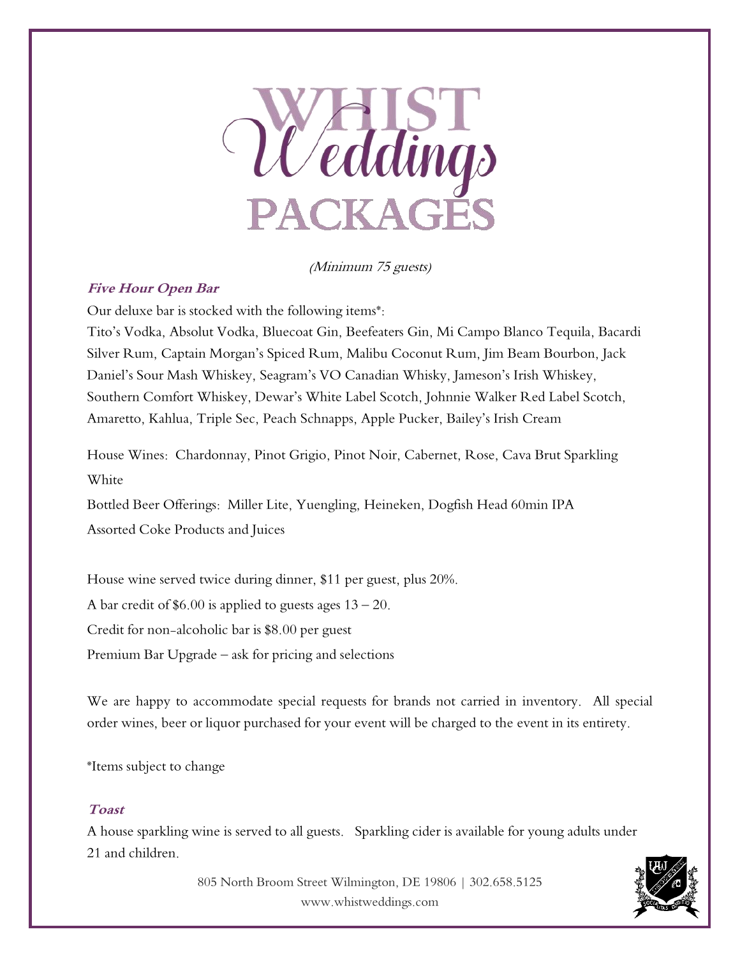

(Minimum 75 guests)

### **Five Hour Open Bar**

Our deluxe bar is stocked with the following items\*:

Tito's Vodka, Absolut Vodka, Bluecoat Gin, Beefeaters Gin, Mi Campo Blanco Tequila, Bacardi Silver Rum, Captain Morgan's Spiced Rum, Malibu Coconut Rum, Jim Beam Bourbon, Jack Daniel's Sour Mash Whiskey, Seagram's VO Canadian Whisky, Jameson's Irish Whiskey, Southern Comfort Whiskey, Dewar's White Label Scotch, Johnnie Walker Red Label Scotch, Amaretto, Kahlua, Triple Sec, Peach Schnapps, Apple Pucker, Bailey's Irish Cream

House Wines: Chardonnay, Pinot Grigio, Pinot Noir, Cabernet, Rose, Cava Brut Sparkling White

Bottled Beer Offerings: Miller Lite, Yuengling, Heineken, Dogfish Head 60min IPA Assorted Coke Products and Juices

House wine served twice during dinner, \$11 per guest, plus 20%. A bar credit of  $$6.00$  is applied to guests ages  $13 - 20$ . Credit for non-alcoholic bar is \$8.00 per guest Premium Bar Upgrade – ask for pricing and selections

We are happy to accommodate special requests for brands not carried in inventory. All special order wines, beer or liquor purchased for your event will be charged to the event in its entirety.

\*Items subject to change

#### **Toast**

A house sparkling wine is served to all guests. Sparkling cider is available for young adults under 21 and children.

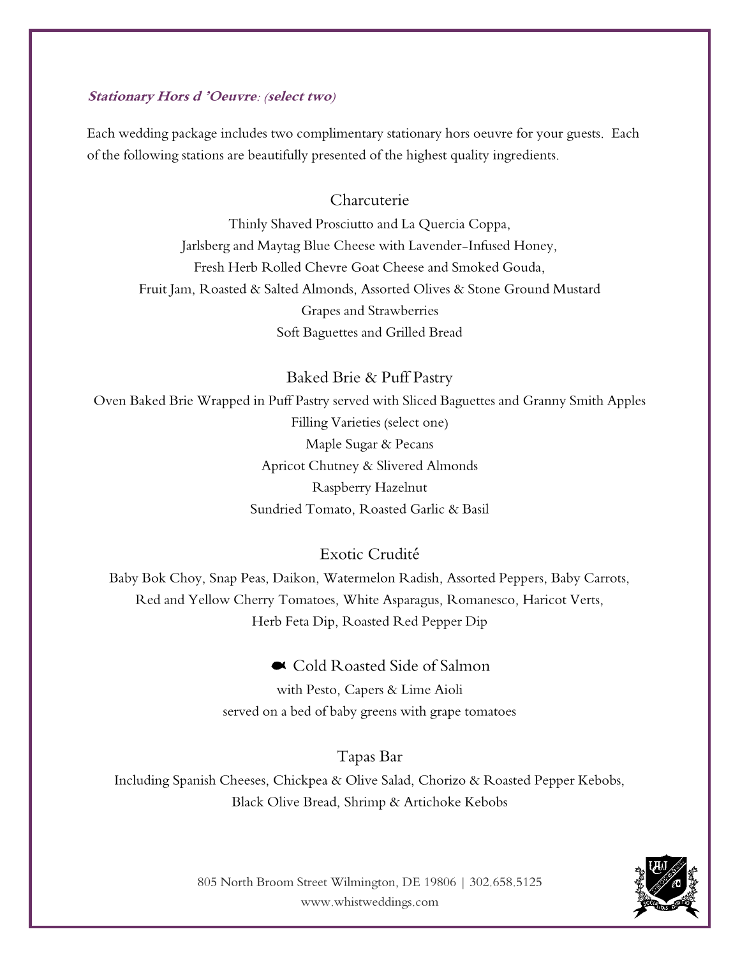#### **Stationary Hors d 'Oeuvre: (select two)**

Each wedding package includes two complimentary stationary hors oeuvre for your guests. Each of the following stations are beautifully presented of the highest quality ingredients.

### Charcuterie

Thinly Shaved Prosciutto and La Quercia Coppa, Jarlsberg and Maytag Blue Cheese with Lavender-Infused Honey, Fresh Herb Rolled Chevre Goat Cheese and Smoked Gouda, Fruit Jam, Roasted & Salted Almonds, Assorted Olives & Stone Ground Mustard Grapes and Strawberries Soft Baguettes and Grilled Bread

Baked Brie & Puff Pastry

Oven Baked Brie Wrapped in Puff Pastry served with Sliced Baguettes and Granny Smith Apples Filling Varieties (select one) Maple Sugar & Pecans Apricot Chutney & Slivered Almonds Raspberry Hazelnut Sundried Tomato, Roasted Garlic & Basil

Exotic Crudité

Baby Bok Choy, Snap Peas, Daikon, Watermelon Radish, Assorted Peppers, Baby Carrots, Red and Yellow Cherry Tomatoes, White Asparagus, Romanesco, Haricot Verts, Herb Feta Dip, Roasted Red Pepper Dip

Cold Roasted Side of Salmon

with Pesto, Capers & Lime Aioli served on a bed of baby greens with grape tomatoes

Tapas Bar Including Spanish Cheeses, Chickpea & Olive Salad, Chorizo & Roasted Pepper Kebobs, Black Olive Bread, Shrimp & Artichoke Kebobs

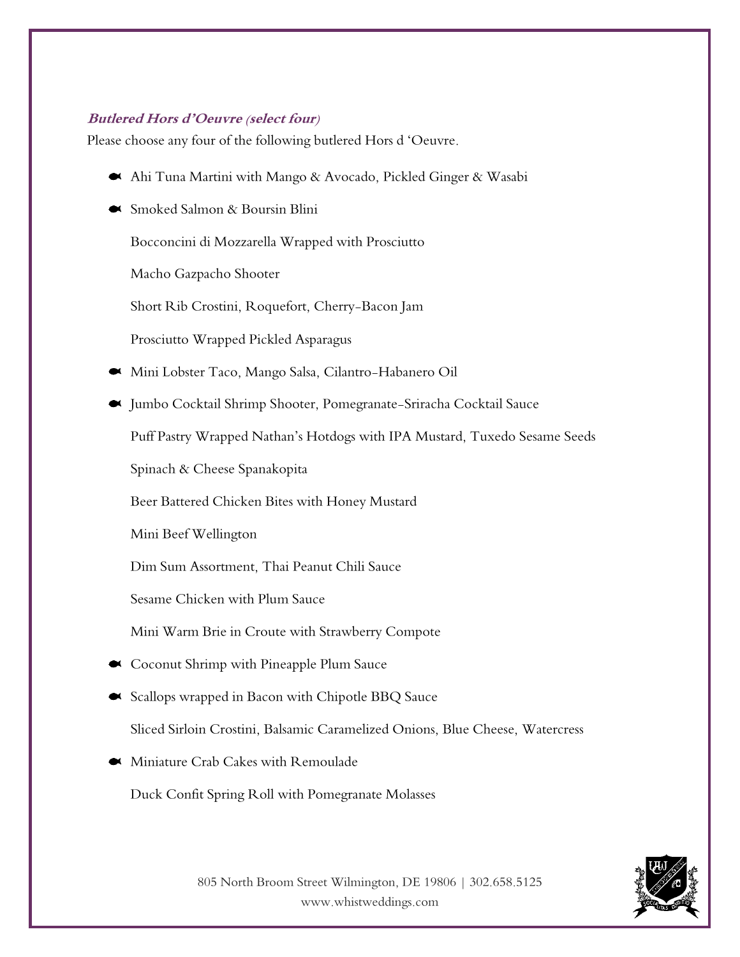#### **Butlered Hors d'Oeuvre (select four)**

Please choose any four of the following butlered Hors d 'Oeuvre.

- Ahi Tuna Martini with Mango & Avocado, Pickled Ginger & Wasabi
- Smoked Salmon & Boursin Blini

Bocconcini di Mozzarella Wrapped with Prosciutto

Macho Gazpacho Shooter

Short Rib Crostini, Roquefort, Cherry-Bacon Jam

Prosciutto Wrapped Pickled Asparagus

- Mini Lobster Taco, Mango Salsa, Cilantro-Habanero Oil
- Jumbo Cocktail Shrimp Shooter, Pomegranate-Sriracha Cocktail Sauce

Puff Pastry Wrapped Nathan's Hotdogs with IPA Mustard, Tuxedo Sesame Seeds

Spinach & Cheese Spanakopita

Beer Battered Chicken Bites with Honey Mustard

Mini Beef Wellington

Dim Sum Assortment, Thai Peanut Chili Sauce

Sesame Chicken with Plum Sauce

Mini Warm Brie in Croute with Strawberry Compote

- Coconut Shrimp with Pineapple Plum Sauce
- Scallops wrapped in Bacon with Chipotle BBQ Sauce

Sliced Sirloin Crostini, Balsamic Caramelized Onions, Blue Cheese, Watercress

Miniature Crab Cakes with Remoulade

Duck Confit Spring Roll with Pomegranate Molasses

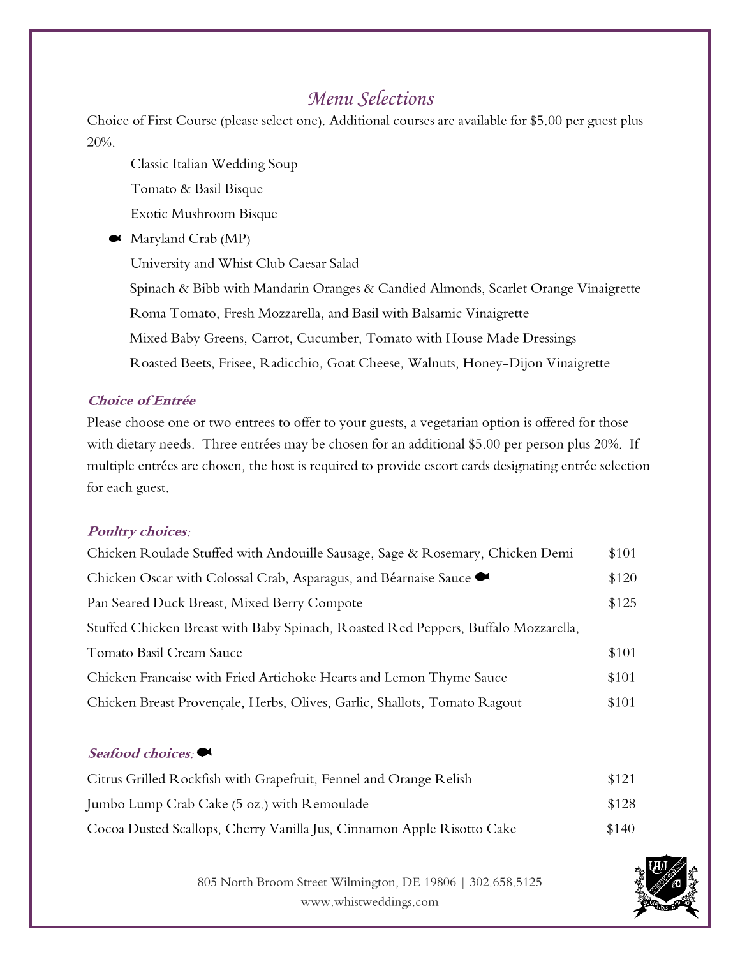## *Menu Selections*

Choice of First Course (please select one). Additional courses are available for \$5.00 per guest plus 20%.

Classic Italian Wedding Soup

Tomato & Basil Bisque

Exotic Mushroom Bisque

Maryland Crab (MP)

University and Whist Club Caesar Salad

 Spinach & Bibb with Mandarin Oranges & Candied Almonds, Scarlet Orange Vinaigrette Roma Tomato, Fresh Mozzarella, and Basil with Balsamic Vinaigrette Mixed Baby Greens, Carrot, Cucumber, Tomato with House Made Dressings Roasted Beets, Frisee, Radicchio, Goat Cheese, Walnuts, Honey-Dijon Vinaigrette

### **Choice of Entrée**

Please choose one or two entrees to offer to your guests, a vegetarian option is offered for those with dietary needs. Three entrées may be chosen for an additional \$5.00 per person plus 20%. If multiple entrées are chosen, the host is required to provide escort cards designating entrée selection for each guest.

### **Poultry choices:**

| Chicken Roulade Stuffed with Andouille Sausage, Sage & Rosemary, Chicken Demi      | \$101 |
|------------------------------------------------------------------------------------|-------|
| Chicken Oscar with Colossal Crab, Asparagus, and Béarnaise Sauce ●                 | \$120 |
| Pan Seared Duck Breast, Mixed Berry Compote                                        | \$125 |
| Stuffed Chicken Breast with Baby Spinach, Roasted Red Peppers, Buffalo Mozzarella, |       |
| Tomato Basil Cream Sauce                                                           | \$101 |
| Chicken Francaise with Fried Artichoke Hearts and Lemon Thyme Sauce                | \$101 |
| Chicken Breast Provençale, Herbs, Olives, Garlic, Shallots, Tomato Ragout          | \$101 |

### **Seafood choices:**

| Citrus Grilled Rockfish with Grapefruit, Fennel and Orange Relish      | \$121 |
|------------------------------------------------------------------------|-------|
| Jumbo Lump Crab Cake (5 oz.) with Remoulade                            | \$128 |
| Cocoa Dusted Scallops, Cherry Vanilla Jus, Cinnamon Apple Risotto Cake | \$140 |

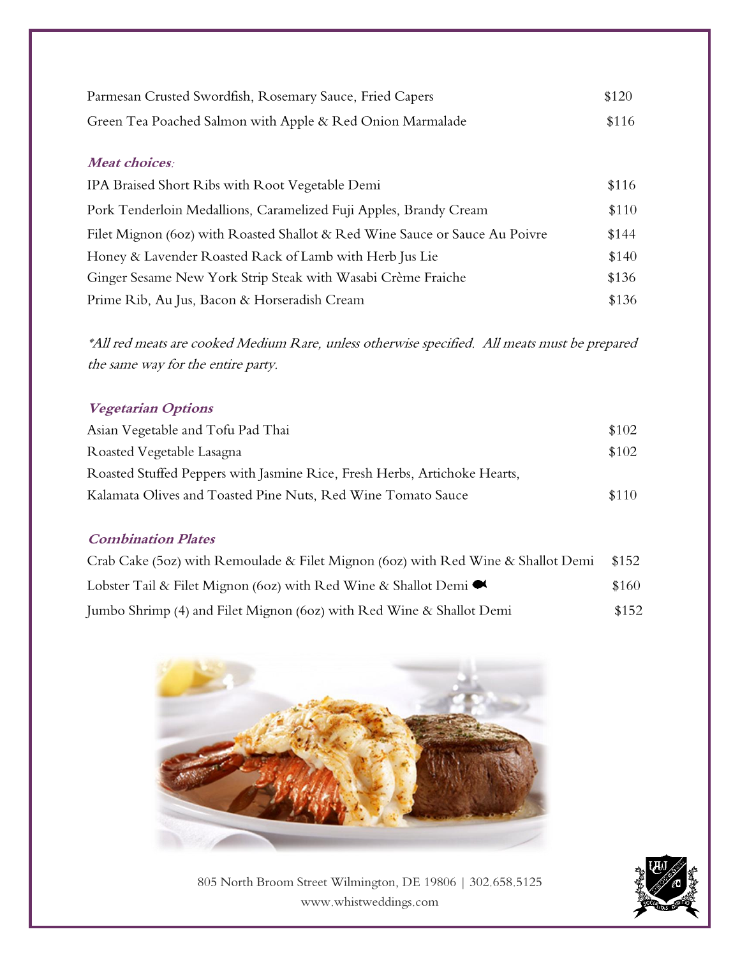| Parmesan Crusted Swordfish, Rosemary Sauce, Fried Capers  | \$120 |
|-----------------------------------------------------------|-------|
| Green Tea Poached Salmon with Apple & Red Onion Marmalade | \$116 |

### **Meat choices:**

| IPA Braised Short Ribs with Root Vegetable Demi                             | \$116 |
|-----------------------------------------------------------------------------|-------|
| Pork Tenderloin Medallions, Caramelized Fuji Apples, Brandy Cream           | \$110 |
| Filet Mignon (60z) with Roasted Shallot & Red Wine Sauce or Sauce Au Poivre | \$144 |
| Honey & Lavender Roasted Rack of Lamb with Herb Jus Lie                     | \$140 |
| Ginger Sesame New York Strip Steak with Wasabi Crème Fraiche                | \$136 |
| Prime Rib, Au Jus, Bacon & Horseradish Cream                                | \$136 |

\*All red meats are cooked Medium Rare, unless otherwise specified. All meats must be prepared the same way for the entire party.

### **Vegetarian Options**

| Asian Vegetable and Tofu Pad Thai                                         | \$102 |
|---------------------------------------------------------------------------|-------|
| Roasted Vegetable Lasagna                                                 | \$102 |
| Roasted Stuffed Peppers with Jasmine Rice, Fresh Herbs, Artichoke Hearts, |       |
| Kalamata Olives and Toasted Pine Nuts, Red Wine Tomato Sauce              | \$110 |

#### **Combination Plates**

| Crab Cake (5oz) with Remoulade & Filet Mignon (6oz) with Red Wine & Shallot Demi | \$152 |
|----------------------------------------------------------------------------------|-------|
| Lobster Tail & Filet Mignon (60z) with Red Wine & Shallot Demi $\bullet$         | \$160 |
| Jumbo Shrimp (4) and Filet Mignon (60z) with Red Wine & Shallot Demi             | \$152 |



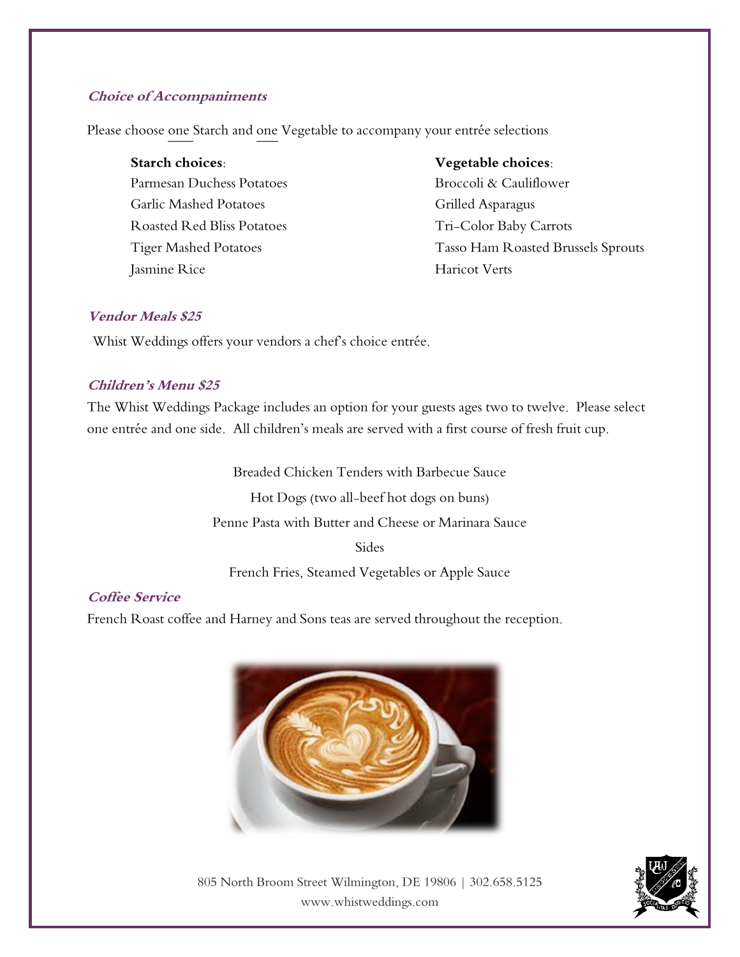#### **Choice of Accompaniments**

Please choose one Starch and one Vegetable to accompany your entrée selections

| Starch choices:               |
|-------------------------------|
| Parmesan Duchess Potatoes     |
| <b>Garlic Mashed Potatoes</b> |
| Roasted Red Bliss Potatoes    |
| <b>Tiger Mashed Potatoes</b>  |
| Jasmine Rice                  |

#### **Starch choices: Vegetable choices:**

Broccoli & Cauliflower Grilled Asparagus Tri-Color Baby Carrots Tasso Ham Roasted Brussels Sprouts Haricot Verts

#### **Vendor Meals \$25**

Whist Weddings offers your vendors a chef's choice entrée.

### **Children's Menu \$25**

The Whist Weddings Package includes an option for your guests ages two to twelve. Please select one entrée and one side. All children's meals are served with a first course of fresh fruit cup.

> Breaded Chicken Tenders with Barbecue Sauce Hot Dogs (two all-beef hot dogs on buns) Penne Pasta with Butter and Cheese or Marinara Sauce **Sides**

French Fries, Steamed Vegetables or Apple Sauce

### **Coffee Service**

French Roast coffee and Harney and Sons teas are served throughout the reception.